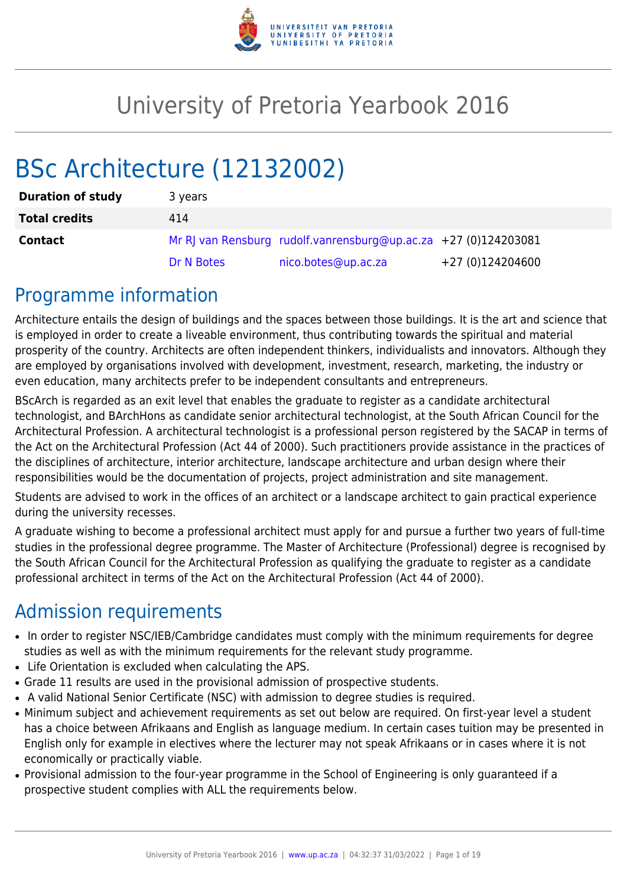

# University of Pretoria Yearbook 2016

# BSc Architecture (12132002)

| <b>Duration of study</b> | 3 years    |                                                                 |                  |
|--------------------------|------------|-----------------------------------------------------------------|------------------|
| <b>Total credits</b>     | 414        |                                                                 |                  |
| <b>Contact</b>           |            | Mr RJ van Rensburg rudolf.vanrensburg@up.ac.za +27 (0)124203081 |                  |
|                          | Dr N Botes | nico.botes@up.ac.za                                             | +27 (0)124204600 |

## Programme information

Architecture entails the design of buildings and the spaces between those buildings. It is the art and science that is employed in order to create a liveable environment, thus contributing towards the spiritual and material prosperity of the country. Architects are often independent thinkers, individualists and innovators. Although they are employed by organisations involved with development, investment, research, marketing, the industry or even education, many architects prefer to be independent consultants and entrepreneurs.

BScArch is regarded as an exit level that enables the graduate to register as a candidate architectural technologist, and BArchHons as candidate senior architectural technologist, at the South African Council for the Architectural Profession. A architectural technologist is a professional person registered by the SACAP in terms of the Act on the Architectural Profession (Act 44 of 2000). Such practitioners provide assistance in the practices of the disciplines of architecture, interior architecture, landscape architecture and urban design where their responsibilities would be the documentation of projects, project administration and site management.

Students are advised to work in the offices of an architect or a landscape architect to gain practical experience during the university recesses.

A graduate wishing to become a professional architect must apply for and pursue a further two years of full-time studies in the professional degree programme. The Master of Architecture (Professional) degree is recognised by the South African Council for the Architectural Profession as qualifying the graduate to register as a candidate professional architect in terms of the Act on the Architectural Profession (Act 44 of 2000).

# Admission requirements

- In order to register NSC/IEB/Cambridge candidates must comply with the minimum requirements for degree studies as well as with the minimum requirements for the relevant study programme.
- Life Orientation is excluded when calculating the APS.
- Grade 11 results are used in the provisional admission of prospective students.
- A valid National Senior Certificate (NSC) with admission to degree studies is required.
- Minimum subject and achievement requirements as set out below are required. On first-year level a student has a choice between Afrikaans and English as language medium. In certain cases tuition may be presented in English only for example in electives where the lecturer may not speak Afrikaans or in cases where it is not economically or practically viable.
- Provisional admission to the four-year programme in the School of Engineering is only guaranteed if a prospective student complies with ALL the requirements below.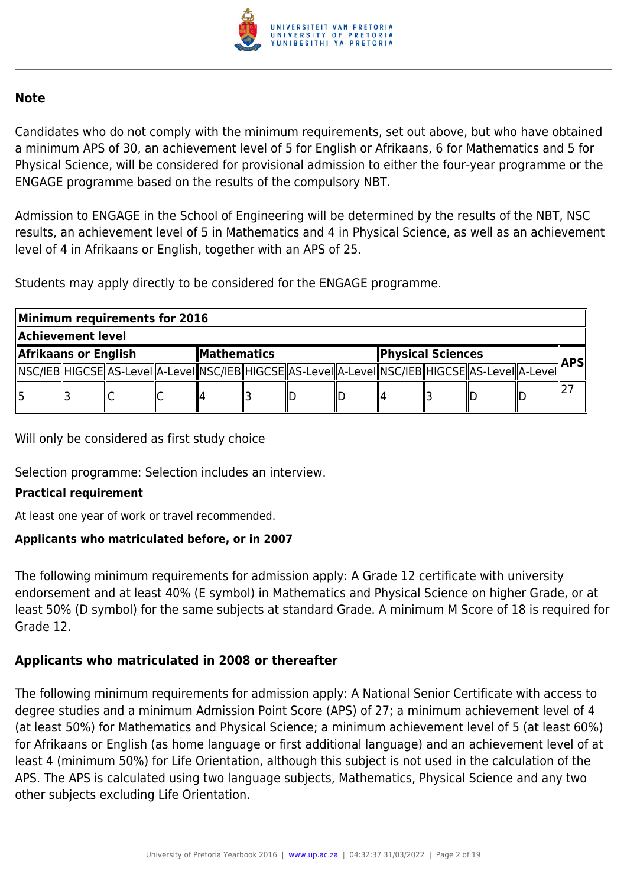

#### **Note**

Candidates who do not comply with the minimum requirements, set out above, but who have obtained a minimum APS of 30, an achievement level of 5 for English or Afrikaans, 6 for Mathematics and 5 for Physical Science, will be considered for provisional admission to either the four-year programme or the ENGAGE programme based on the results of the compulsory NBT.

Admission to ENGAGE in the School of Engineering will be determined by the results of the NBT, NSC results, an achievement level of 5 in Mathematics and 4 in Physical Science, as well as an achievement level of 4 in Afrikaans or English, together with an APS of 25.

Students may apply directly to be considered for the ENGAGE programme.

|                                          | Minimum requirements for 2016 |                                                                                                            |                   |  |  |            |  |  |  |  |  |
|------------------------------------------|-------------------------------|------------------------------------------------------------------------------------------------------------|-------------------|--|--|------------|--|--|--|--|--|
| Achievement level                        |                               |                                                                                                            |                   |  |  |            |  |  |  |  |  |
| Afrikaans or English<br>$\ $ Mathematics |                               |                                                                                                            | Physical Sciences |  |  | <b>APS</b> |  |  |  |  |  |
|                                          |                               | NSC/IEB  HIGCSE  AS-LeveI  A-LeveI  NSC/IEB  HIGCSE  AS-LeveI  A-LeveI  NSC/IEB  HIGCSE  AS-LeveI  A-LeveI |                   |  |  |            |  |  |  |  |  |
|                                          |                               |                                                                                                            |                   |  |  |            |  |  |  |  |  |

Will only be considered as first study choice

Selection programme: Selection includes an interview.

#### **Practical requirement**

At least one year of work or travel recommended.

#### **Applicants who matriculated before, or in 2007**

The following minimum requirements for admission apply: A Grade 12 certificate with university endorsement and at least 40% (E symbol) in Mathematics and Physical Science on higher Grade, or at least 50% (D symbol) for the same subjects at standard Grade. A minimum M Score of 18 is required for Grade 12.

### **Applicants who matriculated in 2008 or thereafter**

The following minimum requirements for admission apply: A National Senior Certificate with access to degree studies and a minimum Admission Point Score (APS) of 27; a minimum achievement level of 4 (at least 50%) for Mathematics and Physical Science; a minimum achievement level of 5 (at least 60%) for Afrikaans or English (as home language or first additional language) and an achievement level of at least 4 (minimum 50%) for Life Orientation, although this subject is not used in the calculation of the APS. The APS is calculated using two language subjects, Mathematics, Physical Science and any two other subjects excluding Life Orientation.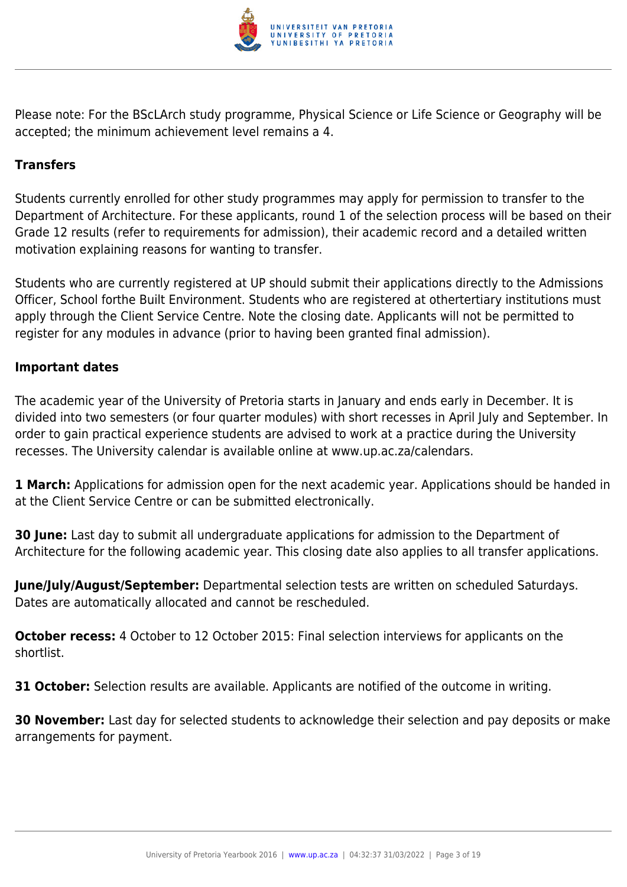

Please note: For the BScLArch study programme, Physical Science or Life Science or Geography will be accepted; the minimum achievement level remains a 4.

### **Transfers**

Students currently enrolled for other study programmes may apply for permission to transfer to the Department of Architecture. For these applicants, round 1 of the selection process will be based on their Grade 12 results (refer to requirements for admission), their academic record and a detailed written motivation explaining reasons for wanting to transfer.

Students who are currently registered at UP should submit their applications directly to the Admissions Officer, School forthe Built Environment. Students who are registered at othertertiary institutions must apply through the Client Service Centre. Note the closing date. Applicants will not be permitted to register for any modules in advance (prior to having been granted final admission).

#### **Important dates**

The academic year of the University of Pretoria starts in January and ends early in December. It is divided into two semesters (or four quarter modules) with short recesses in April July and September. In order to gain practical experience students are advised to work at a practice during the University recesses. The University calendar is available online at www.up.ac.za/calendars.

**1 March:** Applications for admission open for the next academic year. Applications should be handed in at the Client Service Centre or can be submitted electronically.

**30 June:** Last day to submit all undergraduate applications for admission to the Department of Architecture for the following academic year. This closing date also applies to all transfer applications.

**June/July/August/September:** Departmental selection tests are written on scheduled Saturdays. Dates are automatically allocated and cannot be rescheduled.

**October recess:** 4 October to 12 October 2015: Final selection interviews for applicants on the shortlist.

**31 October:** Selection results are available. Applicants are notified of the outcome in writing.

**30 November:** Last day for selected students to acknowledge their selection and pay deposits or make arrangements for payment.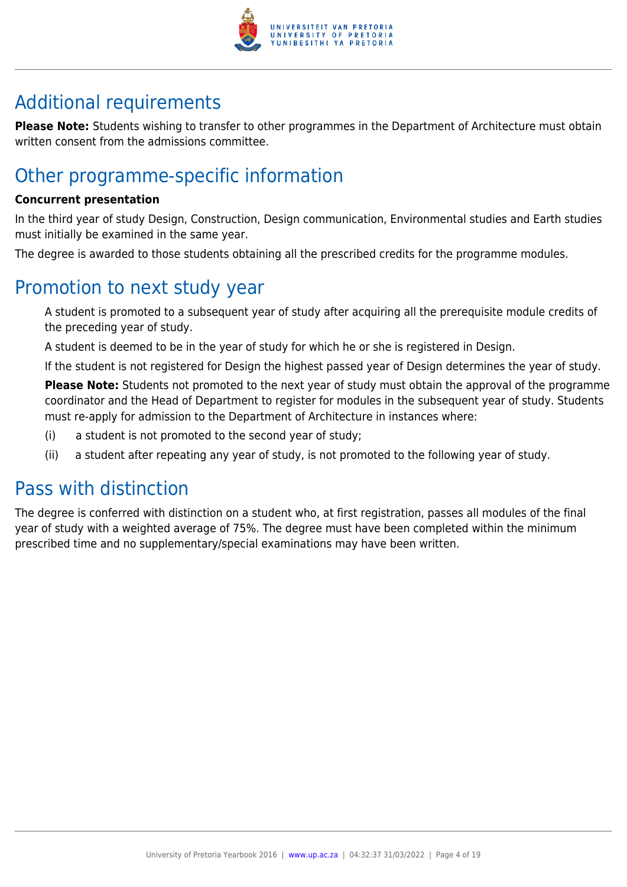

# Additional requirements

**Please Note:** Students wishing to transfer to other programmes in the Department of Architecture must obtain written consent from the admissions committee.

# Other programme-specific information

#### **Concurrent presentation**

In the third year of study Design, Construction, Design communication, Environmental studies and Earth studies must initially be examined in the same year.

The degree is awarded to those students obtaining all the prescribed credits for the programme modules.

## Promotion to next study year

A student is promoted to a subsequent year of study after acquiring all the prerequisite module credits of the preceding year of study.

A student is deemed to be in the year of study for which he or she is registered in Design.

If the student is not registered for Design the highest passed year of Design determines the year of study.

**Please Note:** Students not promoted to the next year of study must obtain the approval of the programme coordinator and the Head of Department to register for modules in the subsequent year of study. Students must re-apply for admission to the Department of Architecture in instances where:

- (i) a student is not promoted to the second year of study;
- (ii) a student after repeating any year of study, is not promoted to the following year of study.

# Pass with distinction

The degree is conferred with distinction on a student who, at first registration, passes all modules of the final year of study with a weighted average of 75%. The degree must have been completed within the minimum prescribed time and no supplementary/special examinations may have been written.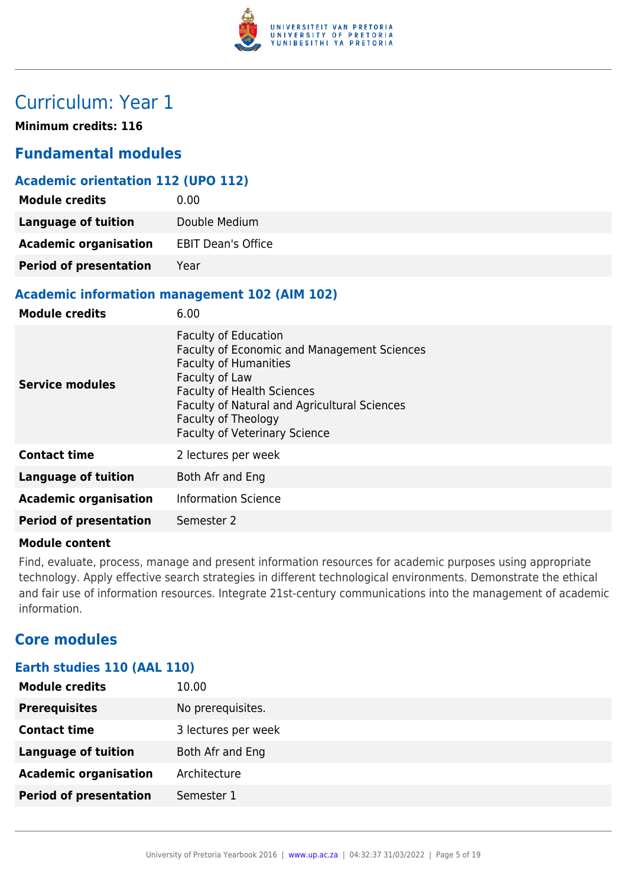

# Curriculum: Year 1

**Minimum credits: 116**

### **Fundamental modules**

#### **Academic orientation 112 (UPO 112)**

| <b>Module credits</b>         | 0.00                      |
|-------------------------------|---------------------------|
| <b>Language of tuition</b>    | Double Medium             |
| <b>Academic organisation</b>  | <b>EBIT Dean's Office</b> |
| <b>Period of presentation</b> | Year                      |

#### **Academic information management 102 (AIM 102)**

| <b>Module credits</b>         | 6.00                                                                                                                                                                                                                                                                             |
|-------------------------------|----------------------------------------------------------------------------------------------------------------------------------------------------------------------------------------------------------------------------------------------------------------------------------|
| <b>Service modules</b>        | <b>Faculty of Education</b><br>Faculty of Economic and Management Sciences<br><b>Faculty of Humanities</b><br>Faculty of Law<br><b>Faculty of Health Sciences</b><br>Faculty of Natural and Agricultural Sciences<br>Faculty of Theology<br><b>Faculty of Veterinary Science</b> |
| <b>Contact time</b>           | 2 lectures per week                                                                                                                                                                                                                                                              |
| Language of tuition           | Both Afr and Eng                                                                                                                                                                                                                                                                 |
| <b>Academic organisation</b>  | <b>Information Science</b>                                                                                                                                                                                                                                                       |
| <b>Period of presentation</b> | Semester 2                                                                                                                                                                                                                                                                       |

#### **Module content**

Find, evaluate, process, manage and present information resources for academic purposes using appropriate technology. Apply effective search strategies in different technological environments. Demonstrate the ethical and fair use of information resources. Integrate 21st-century communications into the management of academic information.

### **Core modules**

### **Earth studies 110 (AAL 110)**

| <b>Module credits</b>         | 10.00               |
|-------------------------------|---------------------|
| <b>Prerequisites</b>          | No prerequisites.   |
| <b>Contact time</b>           | 3 lectures per week |
| <b>Language of tuition</b>    | Both Afr and Eng    |
| <b>Academic organisation</b>  | Architecture        |
| <b>Period of presentation</b> | Semester 1          |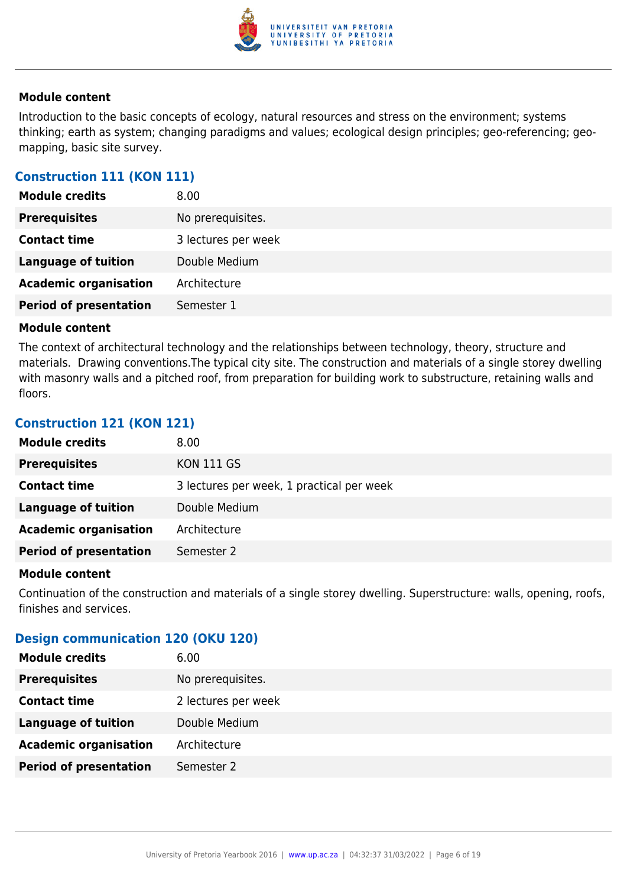

Introduction to the basic concepts of ecology, natural resources and stress on the environment; systems thinking; earth as system; changing paradigms and values; ecological design principles; geo-referencing; geomapping, basic site survey.

#### **Construction 111 (KON 111)**

| <b>Module credits</b>         | 8.00                |
|-------------------------------|---------------------|
| <b>Prerequisites</b>          | No prerequisites.   |
| <b>Contact time</b>           | 3 lectures per week |
| <b>Language of tuition</b>    | Double Medium       |
| <b>Academic organisation</b>  | Architecture        |
| <b>Period of presentation</b> | Semester 1          |

#### **Module content**

The context of architectural technology and the relationships between technology, theory, structure and materials. Drawing conventions.The typical city site. The construction and materials of a single storey dwelling with masonry walls and a pitched roof, from preparation for building work to substructure, retaining walls and floors.

#### **Construction 121 (KON 121)**

| <b>Module credits</b>         | 8.00                                      |
|-------------------------------|-------------------------------------------|
| <b>Prerequisites</b>          | <b>KON 111 GS</b>                         |
| <b>Contact time</b>           | 3 lectures per week, 1 practical per week |
| Language of tuition           | Double Medium                             |
| <b>Academic organisation</b>  | Architecture                              |
| <b>Period of presentation</b> | Semester 2                                |

#### **Module content**

Continuation of the construction and materials of a single storey dwelling. Superstructure: walls, opening, roofs, finishes and services.

#### **Design communication 120 (OKU 120)**

| <b>Module credits</b>         | 6.00                |
|-------------------------------|---------------------|
| <b>Prerequisites</b>          | No prerequisites.   |
| <b>Contact time</b>           | 2 lectures per week |
| <b>Language of tuition</b>    | Double Medium       |
| <b>Academic organisation</b>  | Architecture        |
| <b>Period of presentation</b> | Semester 2          |
|                               |                     |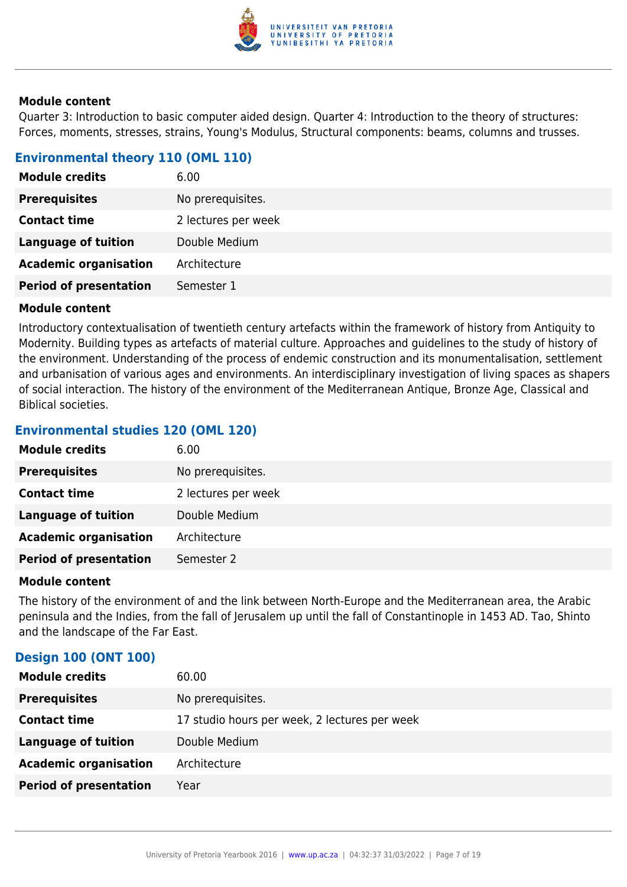

Quarter 3: Introduction to basic computer aided design. Quarter 4: Introduction to the theory of structures: Forces, moments, stresses, strains, Young's Modulus, Structural components: beams, columns and trusses.

#### **Environmental theory 110 (OML 110)**

| <b>Module credits</b>         | 6.00                |
|-------------------------------|---------------------|
| <b>Prerequisites</b>          | No prerequisites.   |
| <b>Contact time</b>           | 2 lectures per week |
| <b>Language of tuition</b>    | Double Medium       |
| <b>Academic organisation</b>  | Architecture        |
| <b>Period of presentation</b> | Semester 1          |

#### **Module content**

Introductory contextualisation of twentieth century artefacts within the framework of history from Antiquity to Modernity. Building types as artefacts of material culture. Approaches and guidelines to the study of history of the environment. Understanding of the process of endemic construction and its monumentalisation, settlement and urbanisation of various ages and environments. An interdisciplinary investigation of living spaces as shapers of social interaction. The history of the environment of the Mediterranean Antique, Bronze Age, Classical and Biblical societies.

#### **Environmental studies 120 (OML 120)**

| <b>Module credits</b>         | 6.00                |
|-------------------------------|---------------------|
| <b>Prerequisites</b>          | No prerequisites.   |
| <b>Contact time</b>           | 2 lectures per week |
| <b>Language of tuition</b>    | Double Medium       |
| <b>Academic organisation</b>  | Architecture        |
| <b>Period of presentation</b> | Semester 2          |

#### **Module content**

The history of the environment of and the link between North-Europe and the Mediterranean area, the Arabic peninsula and the Indies, from the fall of Jerusalem up until the fall of Constantinople in 1453 AD. Tao, Shinto and the landscape of the Far East.

#### **Design 100 (ONT 100)**

| <b>Module credits</b>         | 60.00                                         |
|-------------------------------|-----------------------------------------------|
| <b>Prerequisites</b>          | No prerequisites.                             |
| <b>Contact time</b>           | 17 studio hours per week, 2 lectures per week |
| Language of tuition           | Double Medium                                 |
| <b>Academic organisation</b>  | Architecture                                  |
| <b>Period of presentation</b> | Year                                          |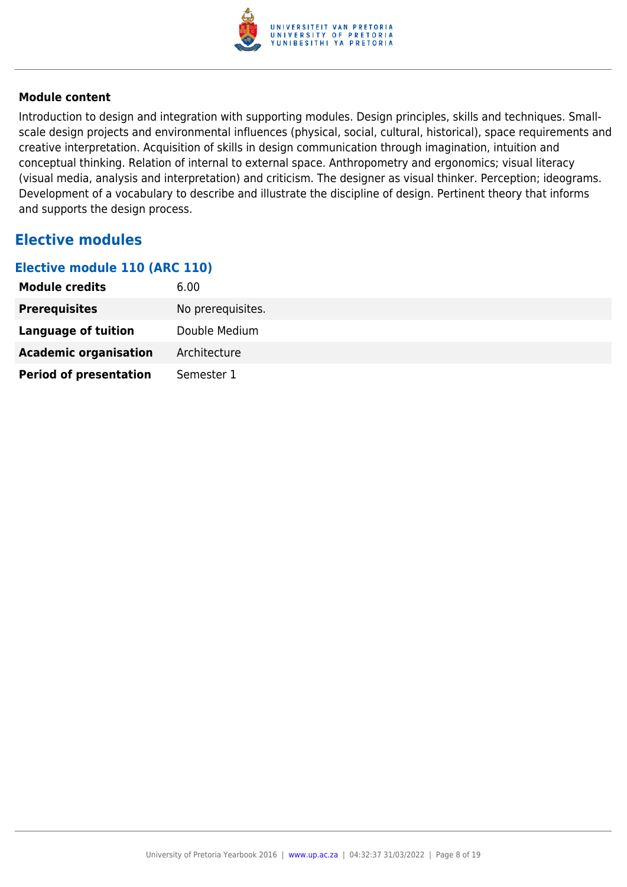

Introduction to design and integration with supporting modules. Design principles, skills and techniques. Smallscale design projects and environmental influences (physical, social, cultural, historical), space requirements and creative interpretation. Acquisition of skills in design communication through imagination, intuition and conceptual thinking. Relation of internal to external space. Anthropometry and ergonomics; visual literacy (visual media, analysis and interpretation) and criticism. The designer as visual thinker. Perception; ideograms. Development of a vocabulary to describe and illustrate the discipline of design. Pertinent theory that informs and supports the design process.

### **Elective modules**

#### **Elective module 110 (ARC 110)**

| <b>Module credits</b>         | 6.00              |
|-------------------------------|-------------------|
| <b>Prerequisites</b>          | No prerequisites. |
| Language of tuition           | Double Medium     |
| <b>Academic organisation</b>  | Architecture      |
| <b>Period of presentation</b> | Semester 1        |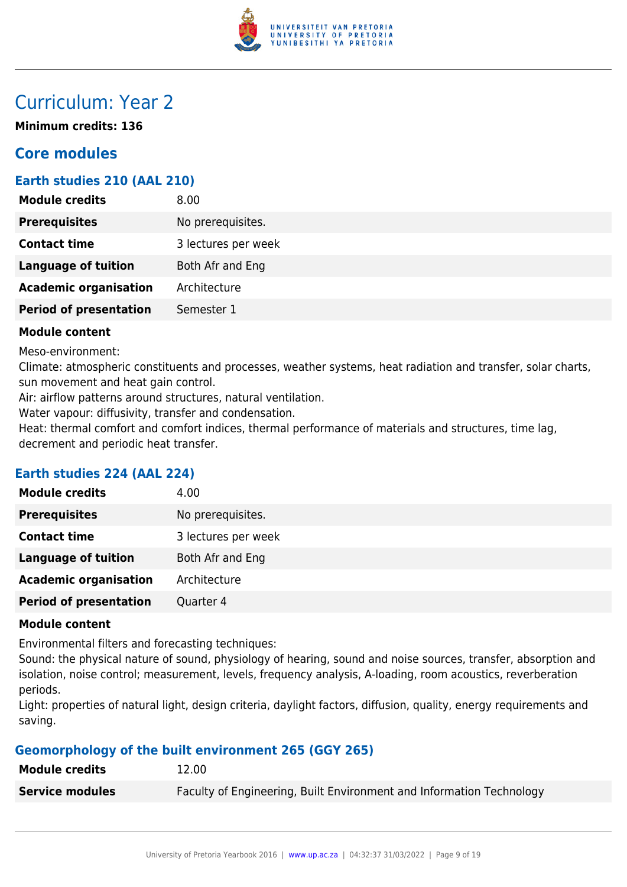

# Curriculum: Year 2

**Minimum credits: 136**

### **Core modules**

#### **Earth studies 210 (AAL 210)**

| No prerequisites.<br><b>Contact time</b><br>3 lectures per week<br><b>Language of tuition</b><br>Both Afr and Eng<br><b>Academic organisation</b><br>Architecture | <b>Module credits</b> | 8.00 |
|-------------------------------------------------------------------------------------------------------------------------------------------------------------------|-----------------------|------|
|                                                                                                                                                                   | <b>Prerequisites</b>  |      |
|                                                                                                                                                                   |                       |      |
|                                                                                                                                                                   |                       |      |
|                                                                                                                                                                   |                       |      |
| <b>Period of presentation</b><br>Semester 1                                                                                                                       |                       |      |

#### **Module content**

Meso-environment:

Climate: atmospheric constituents and processes, weather systems, heat radiation and transfer, solar charts, sun movement and heat gain control.

Air: airflow patterns around structures, natural ventilation.

Water vapour: diffusivity, transfer and condensation.

Heat: thermal comfort and comfort indices, thermal performance of materials and structures, time lag, decrement and periodic heat transfer.

#### **Earth studies 224 (AAL 224)**

| No prerequisites.<br><b>Prerequisites</b><br><b>Contact time</b><br>3 lectures per week<br><b>Language of tuition</b><br>Both Afr and Eng<br><b>Academic organisation</b><br>Architecture<br>Quarter 4 | <b>Module credits</b>         | 4.00 |
|--------------------------------------------------------------------------------------------------------------------------------------------------------------------------------------------------------|-------------------------------|------|
|                                                                                                                                                                                                        |                               |      |
|                                                                                                                                                                                                        |                               |      |
|                                                                                                                                                                                                        |                               |      |
|                                                                                                                                                                                                        |                               |      |
|                                                                                                                                                                                                        | <b>Period of presentation</b> |      |

#### **Module content**

Environmental filters and forecasting techniques:

Sound: the physical nature of sound, physiology of hearing, sound and noise sources, transfer, absorption and isolation, noise control; measurement, levels, frequency analysis, A-loading, room acoustics, reverberation periods.

Light: properties of natural light, design criteria, daylight factors, diffusion, quality, energy requirements and saving.

#### **Geomorphology of the built environment 265 (GGY 265)**

| <b>Module credits</b>  | 12.00                                                                |
|------------------------|----------------------------------------------------------------------|
| <b>Service modules</b> | Faculty of Engineering, Built Environment and Information Technology |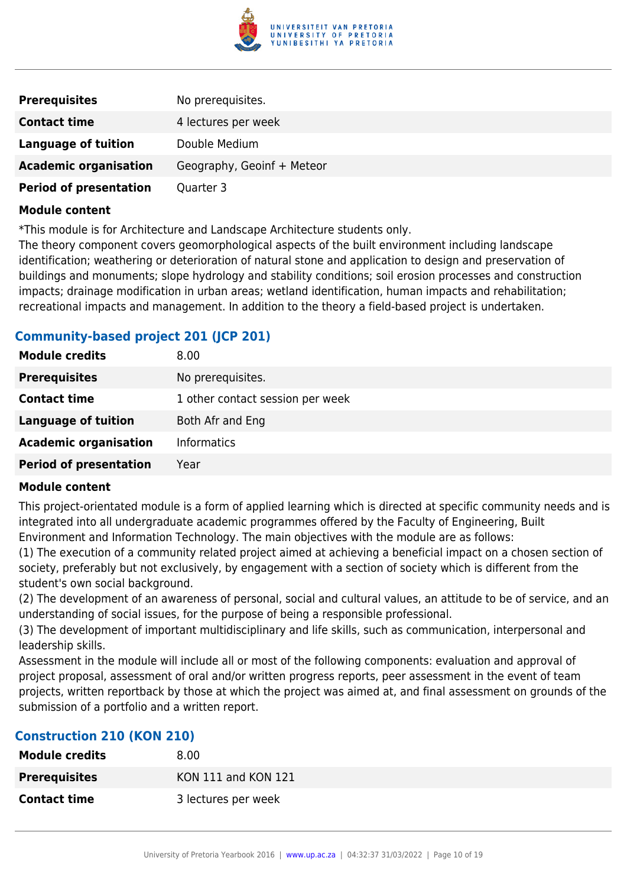

| <b>Prerequisites</b>          | No prerequisites.          |
|-------------------------------|----------------------------|
| <b>Contact time</b>           | 4 lectures per week        |
| Language of tuition           | Double Medium              |
| <b>Academic organisation</b>  | Geography, Geoinf + Meteor |
| <b>Period of presentation</b> | Quarter 3                  |

\*This module is for Architecture and Landscape Architecture students only.

The theory component covers geomorphological aspects of the built environment including landscape identification; weathering or deterioration of natural stone and application to design and preservation of buildings and monuments; slope hydrology and stability conditions; soil erosion processes and construction impacts; drainage modification in urban areas; wetland identification, human impacts and rehabilitation; recreational impacts and management. In addition to the theory a field-based project is undertaken.

#### **Community-based project 201 (JCP 201)**

| <b>Module credits</b>         | 8.00                             |
|-------------------------------|----------------------------------|
| <b>Prerequisites</b>          | No prerequisites.                |
| <b>Contact time</b>           | 1 other contact session per week |
| <b>Language of tuition</b>    | Both Afr and Eng                 |
| <b>Academic organisation</b>  | <b>Informatics</b>               |
| <b>Period of presentation</b> | Year                             |

#### **Module content**

This project-orientated module is a form of applied learning which is directed at specific community needs and is integrated into all undergraduate academic programmes offered by the Faculty of Engineering, Built Environment and Information Technology. The main objectives with the module are as follows:

(1) The execution of a community related project aimed at achieving a beneficial impact on a chosen section of society, preferably but not exclusively, by engagement with a section of society which is different from the student's own social background.

(2) The development of an awareness of personal, social and cultural values, an attitude to be of service, and an understanding of social issues, for the purpose of being a responsible professional.

(3) The development of important multidisciplinary and life skills, such as communication, interpersonal and leadership skills.

Assessment in the module will include all or most of the following components: evaluation and approval of project proposal, assessment of oral and/or written progress reports, peer assessment in the event of team projects, written reportback by those at which the project was aimed at, and final assessment on grounds of the submission of a portfolio and a written report.

#### **Construction 210 (KON 210)**

| <b>Module credits</b> | 8.00                |
|-----------------------|---------------------|
| <b>Prerequisites</b>  | KON 111 and KON 121 |
| <b>Contact time</b>   | 3 lectures per week |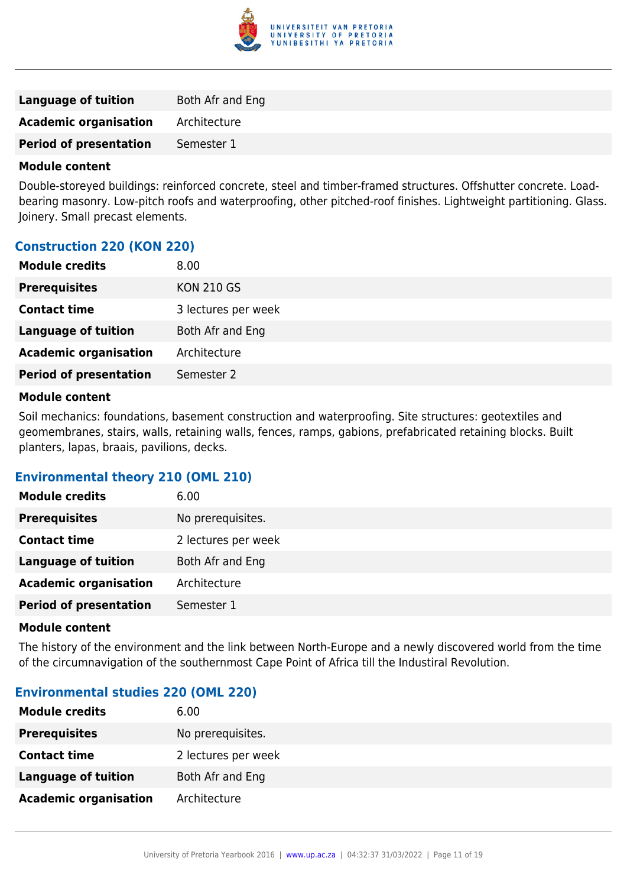

| Language of tuition           | <b>Both Afr and Eng</b> |
|-------------------------------|-------------------------|
| <b>Academic organisation</b>  | Architecture            |
| <b>Period of presentation</b> | Semester 1              |
|                               |                         |

Double-storeyed buildings: reinforced concrete, steel and timber-framed structures. Offshutter concrete. Loadbearing masonry. Low-pitch roofs and waterproofing, other pitched-roof finishes. Lightweight partitioning. Glass. Joinery. Small precast elements.

#### **Construction 220 (KON 220)**

| <b>Prerequisites</b><br><b>KON 210 GS</b>      |
|------------------------------------------------|
| <b>Contact time</b><br>3 lectures per week     |
| <b>Language of tuition</b><br>Both Afr and Eng |
| <b>Academic organisation</b><br>Architecture   |
| <b>Period of presentation</b><br>Semester 2    |

#### **Module content**

Soil mechanics: foundations, basement construction and waterproofing. Site structures: geotextiles and geomembranes, stairs, walls, retaining walls, fences, ramps, gabions, prefabricated retaining blocks. Built planters, lapas, braais, pavilions, decks.

#### **Environmental theory 210 (OML 210)**

| <b>Module credits</b>         | 6.00                |
|-------------------------------|---------------------|
| <b>Prerequisites</b>          | No prerequisites.   |
| <b>Contact time</b>           | 2 lectures per week |
| <b>Language of tuition</b>    | Both Afr and Eng    |
| <b>Academic organisation</b>  | Architecture        |
| <b>Period of presentation</b> | Semester 1          |
|                               |                     |

#### **Module content**

The history of the environment and the link between North-Europe and a newly discovered world from the time of the circumnavigation of the southernmost Cape Point of Africa till the Industiral Revolution.

#### **Environmental studies 220 (OML 220)**

| <b>Module credits</b>        | 6.00                |
|------------------------------|---------------------|
| <b>Prerequisites</b>         | No prerequisites.   |
| <b>Contact time</b>          | 2 lectures per week |
| <b>Language of tuition</b>   | Both Afr and Eng    |
| <b>Academic organisation</b> | Architecture        |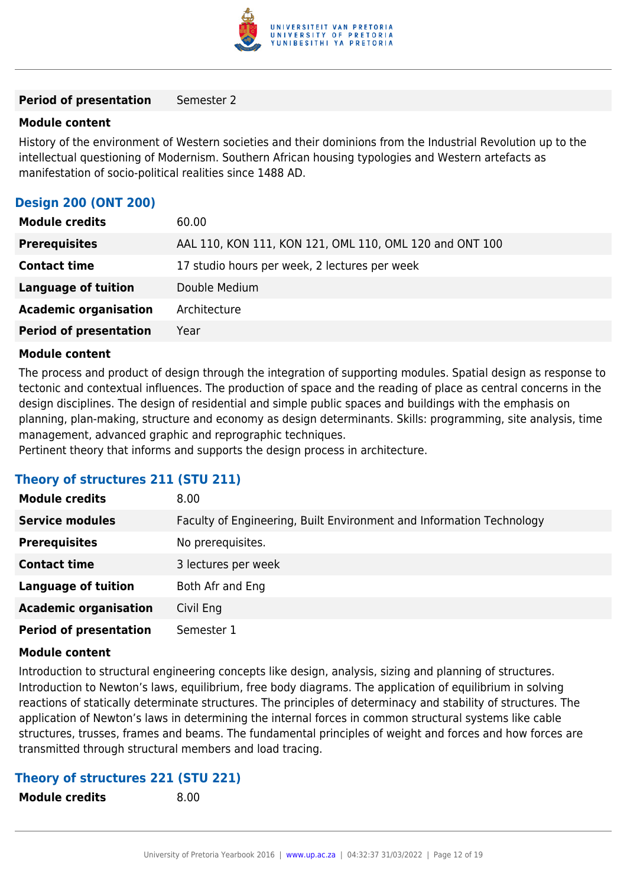

#### **Period of presentation** Semester 2

#### **Module content**

History of the environment of Western societies and their dominions from the Industrial Revolution up to the intellectual questioning of Modernism. Southern African housing typologies and Western artefacts as manifestation of socio-political realities since 1488 AD.

#### **Design 200 (ONT 200)**

| <b>Module credits</b>         | 60.00                                                   |
|-------------------------------|---------------------------------------------------------|
| <b>Prerequisites</b>          | AAL 110, KON 111, KON 121, OML 110, OML 120 and ONT 100 |
| <b>Contact time</b>           | 17 studio hours per week, 2 lectures per week           |
| <b>Language of tuition</b>    | Double Medium                                           |
| <b>Academic organisation</b>  | Architecture                                            |
| <b>Period of presentation</b> | Year                                                    |

#### **Module content**

The process and product of design through the integration of supporting modules. Spatial design as response to tectonic and contextual influences. The production of space and the reading of place as central concerns in the design disciplines. The design of residential and simple public spaces and buildings with the emphasis on planning, plan-making, structure and economy as design determinants. Skills: programming, site analysis, time management, advanced graphic and reprographic techniques.

Pertinent theory that informs and supports the design process in architecture.

#### **Theory of structures 211 (STU 211)**

| <b>Module credits</b>         | 8.00                                                                 |
|-------------------------------|----------------------------------------------------------------------|
| <b>Service modules</b>        | Faculty of Engineering, Built Environment and Information Technology |
| <b>Prerequisites</b>          | No prerequisites.                                                    |
| <b>Contact time</b>           | 3 lectures per week                                                  |
| <b>Language of tuition</b>    | Both Afr and Eng                                                     |
| <b>Academic organisation</b>  | Civil Eng                                                            |
| <b>Period of presentation</b> | Semester 1                                                           |

#### **Module content**

Introduction to structural engineering concepts like design, analysis, sizing and planning of structures. Introduction to Newton's laws, equilibrium, free body diagrams. The application of equilibrium in solving reactions of statically determinate structures. The principles of determinacy and stability of structures. The application of Newton's laws in determining the internal forces in common structural systems like cable structures, trusses, frames and beams. The fundamental principles of weight and forces and how forces are transmitted through structural members and load tracing.

#### **Theory of structures 221 (STU 221)**

**Module credits** 8.00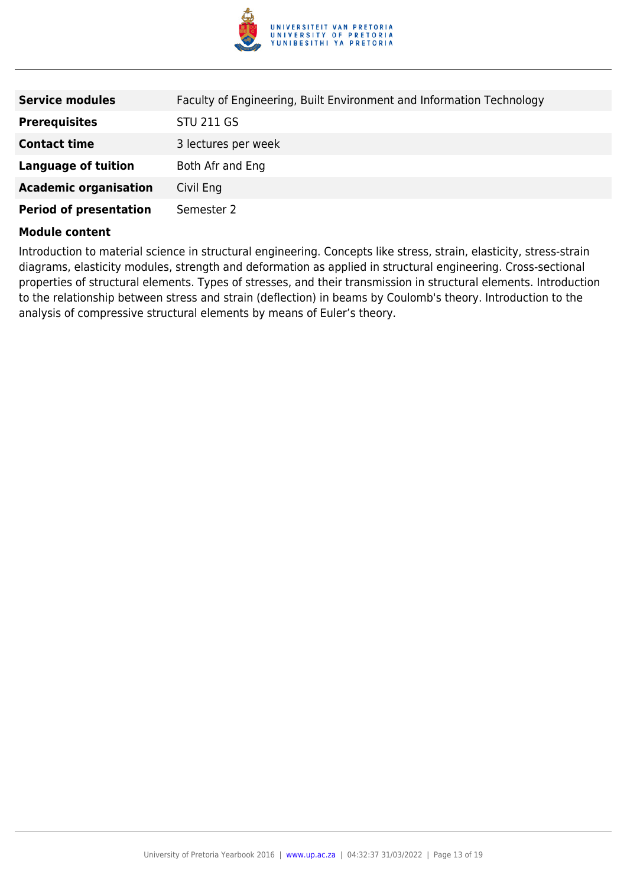

| <b>Service modules</b>        | Faculty of Engineering, Built Environment and Information Technology |
|-------------------------------|----------------------------------------------------------------------|
| <b>Prerequisites</b>          | <b>STU 211 GS</b>                                                    |
| <b>Contact time</b>           | 3 lectures per week                                                  |
| Language of tuition           | Both Afr and Eng                                                     |
| <b>Academic organisation</b>  | Civil Eng                                                            |
| <b>Period of presentation</b> | Semester 2                                                           |

Introduction to material science in structural engineering. Concepts like stress, strain, elasticity, stress-strain diagrams, elasticity modules, strength and deformation as applied in structural engineering. Cross-sectional properties of structural elements. Types of stresses, and their transmission in structural elements. Introduction to the relationship between stress and strain (deflection) in beams by Coulomb's theory. Introduction to the analysis of compressive structural elements by means of Euler's theory.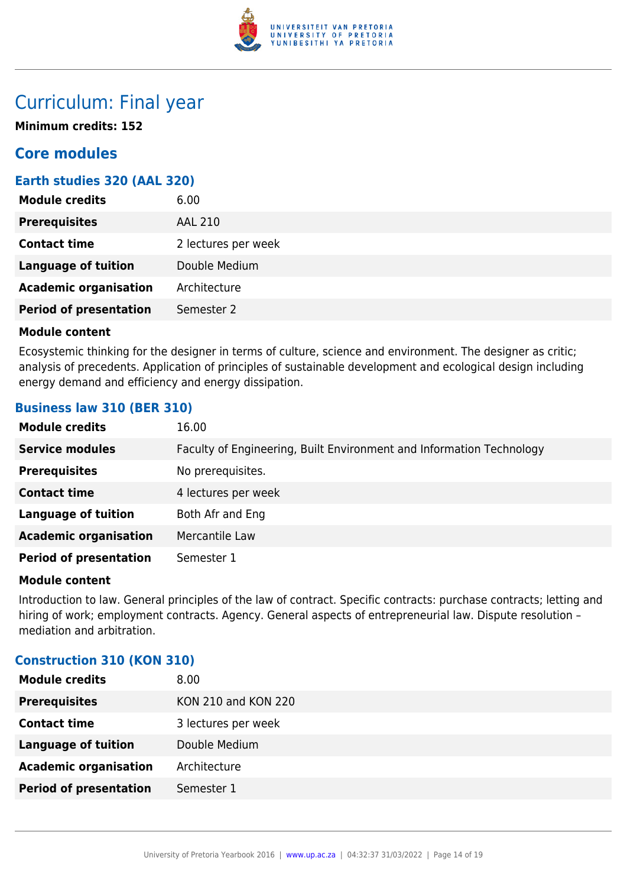

# Curriculum: Final year

**Minimum credits: 152**

### **Core modules**

#### **Earth studies 320 (AAL 320)**

| <b>Module credits</b>         | 6.00                |
|-------------------------------|---------------------|
| <b>Prerequisites</b>          | <b>AAL 210</b>      |
| <b>Contact time</b>           | 2 lectures per week |
| <b>Language of tuition</b>    | Double Medium       |
| <b>Academic organisation</b>  | Architecture        |
| <b>Period of presentation</b> | Semester 2          |

#### **Module content**

Ecosystemic thinking for the designer in terms of culture, science and environment. The designer as critic; analysis of precedents. Application of principles of sustainable development and ecological design including energy demand and efficiency and energy dissipation.

#### **Business law 310 (BER 310)**

| <b>Module credits</b>         | 16.00                                                                |
|-------------------------------|----------------------------------------------------------------------|
| <b>Service modules</b>        | Faculty of Engineering, Built Environment and Information Technology |
| <b>Prerequisites</b>          | No prerequisites.                                                    |
| <b>Contact time</b>           | 4 lectures per week                                                  |
| <b>Language of tuition</b>    | Both Afr and Eng                                                     |
| <b>Academic organisation</b>  | Mercantile Law                                                       |
| <b>Period of presentation</b> | Semester 1                                                           |

#### **Module content**

Introduction to law. General principles of the law of contract. Specific contracts: purchase contracts; letting and hiring of work; employment contracts. Agency. General aspects of entrepreneurial law. Dispute resolution – mediation and arbitration.

#### **Construction 310 (KON 310)**

| <b>Module credits</b>         | 8.00                       |
|-------------------------------|----------------------------|
| <b>Prerequisites</b>          | <b>KON 210 and KON 220</b> |
| <b>Contact time</b>           | 3 lectures per week        |
| <b>Language of tuition</b>    | Double Medium              |
| <b>Academic organisation</b>  | Architecture               |
| <b>Period of presentation</b> | Semester 1                 |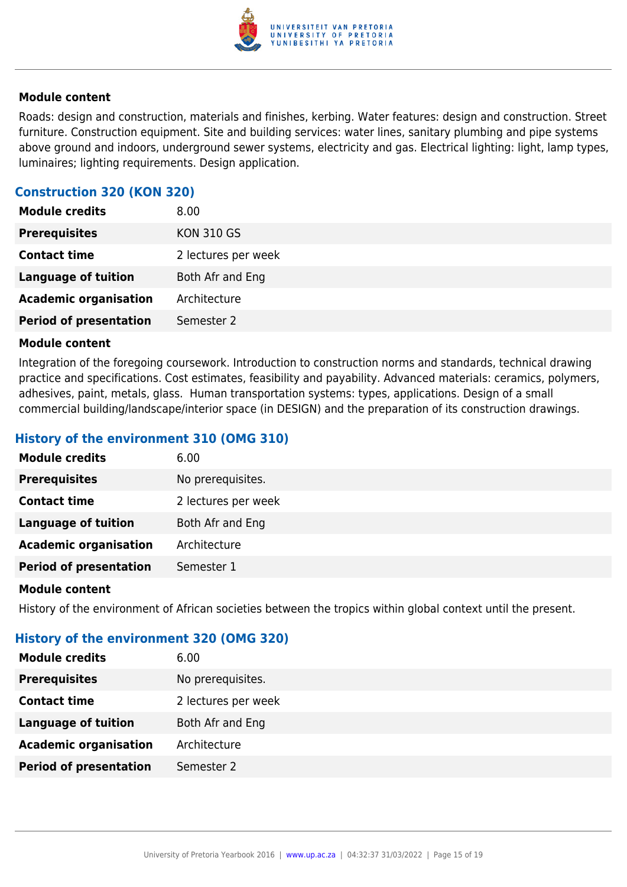

Roads: design and construction, materials and finishes, kerbing. Water features: design and construction. Street furniture. Construction equipment. Site and building services: water lines, sanitary plumbing and pipe systems above ground and indoors, underground sewer systems, electricity and gas. Electrical lighting: light, lamp types, luminaires; lighting requirements. Design application.

#### **Construction 320 (KON 320)**

| <b>Module credits</b>         | 8.00                |
|-------------------------------|---------------------|
| <b>Prerequisites</b>          | <b>KON 310 GS</b>   |
| <b>Contact time</b>           | 2 lectures per week |
| <b>Language of tuition</b>    | Both Afr and Eng    |
| <b>Academic organisation</b>  | Architecture        |
| <b>Period of presentation</b> | Semester 2          |

#### **Module content**

Integration of the foregoing coursework. Introduction to construction norms and standards, technical drawing practice and specifications. Cost estimates, feasibility and payability. Advanced materials: ceramics, polymers, adhesives, paint, metals, glass. Human transportation systems: types, applications. Design of a small commercial building/landscape/interior space (in DESIGN) and the preparation of its construction drawings.

#### **History of the environment 310 (OMG 310)**

| <b>Module credits</b>         | 6.00                |
|-------------------------------|---------------------|
| <b>Prerequisites</b>          | No prerequisites.   |
| <b>Contact time</b>           | 2 lectures per week |
| <b>Language of tuition</b>    | Both Afr and Eng    |
| <b>Academic organisation</b>  | Architecture        |
| <b>Period of presentation</b> | Semester 1          |
|                               |                     |

#### **Module content**

History of the environment of African societies between the tropics within global context until the present.

#### **History of the environment 320 (OMG 320)**

| <b>Module credits</b>         | 6.00                |
|-------------------------------|---------------------|
| <b>Prerequisites</b>          | No prerequisites.   |
| <b>Contact time</b>           | 2 lectures per week |
| <b>Language of tuition</b>    | Both Afr and Eng    |
| <b>Academic organisation</b>  | Architecture        |
| <b>Period of presentation</b> | Semester 2          |
|                               |                     |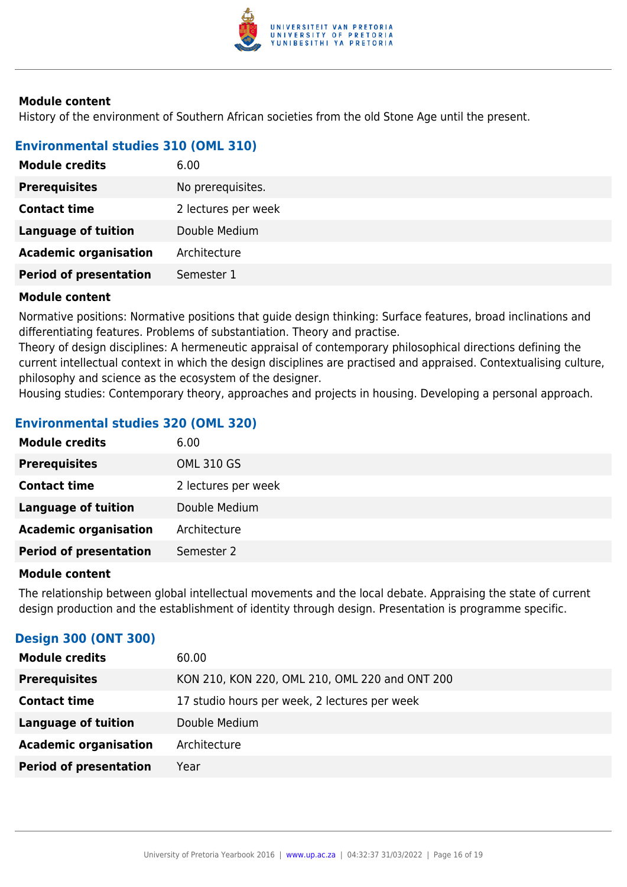

History of the environment of Southern African societies from the old Stone Age until the present.

#### **Environmental studies 310 (OML 310)**

| <b>Module credits</b>         | 6.00                |
|-------------------------------|---------------------|
| <b>Prerequisites</b>          | No prerequisites.   |
| <b>Contact time</b>           | 2 lectures per week |
| <b>Language of tuition</b>    | Double Medium       |
| <b>Academic organisation</b>  | Architecture        |
| <b>Period of presentation</b> | Semester 1          |

#### **Module content**

Normative positions: Normative positions that guide design thinking: Surface features, broad inclinations and differentiating features. Problems of substantiation. Theory and practise.

Theory of design disciplines: A hermeneutic appraisal of contemporary philosophical directions defining the current intellectual context in which the design disciplines are practised and appraised. Contextualising culture, philosophy and science as the ecosystem of the designer.

Housing studies: Contemporary theory, approaches and projects in housing. Developing a personal approach.

#### **Environmental studies 320 (OML 320)**

| <b>Module credits</b>         | 6.00                |
|-------------------------------|---------------------|
| <b>Prerequisites</b>          | <b>OML 310 GS</b>   |
| <b>Contact time</b>           | 2 lectures per week |
| Language of tuition           | Double Medium       |
| <b>Academic organisation</b>  | Architecture        |
| <b>Period of presentation</b> | Semester 2          |

#### **Module content**

The relationship between global intellectual movements and the local debate. Appraising the state of current design production and the establishment of identity through design. Presentation is programme specific.

#### **Design 300 (ONT 300)**

| <b>Module credits</b>         | 60.00                                          |
|-------------------------------|------------------------------------------------|
| <b>Prerequisites</b>          | KON 210, KON 220, OML 210, OML 220 and ONT 200 |
| <b>Contact time</b>           | 17 studio hours per week, 2 lectures per week  |
| Language of tuition           | Double Medium                                  |
| <b>Academic organisation</b>  | Architecture                                   |
| <b>Period of presentation</b> | Year                                           |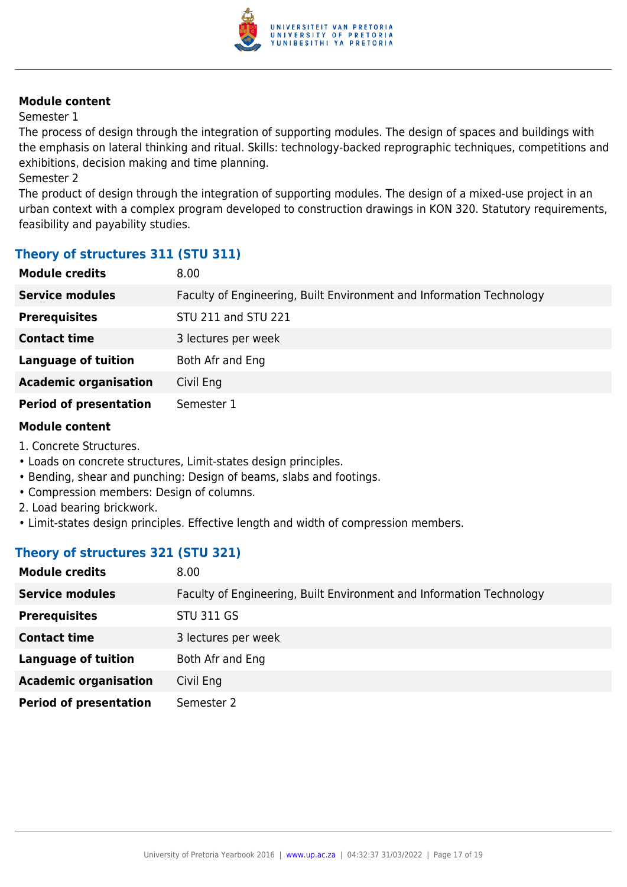

#### Semester 1

The process of design through the integration of supporting modules. The design of spaces and buildings with the emphasis on lateral thinking and ritual. Skills: technology-backed reprographic techniques, competitions and exhibitions, decision making and time planning.

#### Semester 2

The product of design through the integration of supporting modules. The design of a mixed-use project in an urban context with a complex program developed to construction drawings in KON 320. Statutory requirements, feasibility and payability studies.

#### **Theory of structures 311 (STU 311)**

| <b>Module credits</b>         | 8.00                                                                 |
|-------------------------------|----------------------------------------------------------------------|
| <b>Service modules</b>        | Faculty of Engineering, Built Environment and Information Technology |
| <b>Prerequisites</b>          | STU 211 and STU 221                                                  |
| <b>Contact time</b>           | 3 lectures per week                                                  |
| <b>Language of tuition</b>    | Both Afr and Eng                                                     |
| <b>Academic organisation</b>  | Civil Eng                                                            |
| <b>Period of presentation</b> | Semester 1                                                           |

#### **Module content**

- 1. Concrete Structures.
- Loads on concrete structures, Limit-states design principles.
- Bending, shear and punching: Design of beams, slabs and footings.
- Compression members: Design of columns.
- 2. Load bearing brickwork.
- Limit-states design principles. Effective length and width of compression members.

#### **Theory of structures 321 (STU 321)**

| <b>Module credits</b>         | 8.00                                                                 |
|-------------------------------|----------------------------------------------------------------------|
| <b>Service modules</b>        | Faculty of Engineering, Built Environment and Information Technology |
| <b>Prerequisites</b>          | <b>STU 311 GS</b>                                                    |
| <b>Contact time</b>           | 3 lectures per week                                                  |
| <b>Language of tuition</b>    | Both Afr and Eng                                                     |
| <b>Academic organisation</b>  | Civil Eng                                                            |
| <b>Period of presentation</b> | Semester 2                                                           |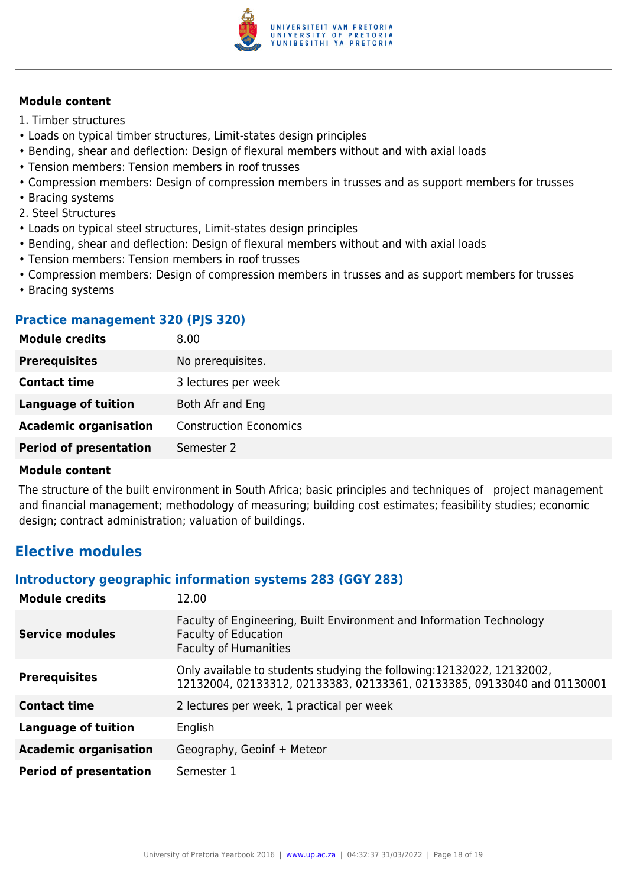

- 1. Timber structures
- Loads on typical timber structures, Limit-states design principles
- Bending, shear and deflection: Design of flexural members without and with axial loads
- Tension members: Tension members in roof trusses
- Compression members: Design of compression members in trusses and as support members for trusses
- Bracing systems
- 2. Steel Structures
- Loads on typical steel structures, Limit-states design principles
- Bending, shear and deflection: Design of flexural members without and with axial loads
- Tension members: Tension members in roof trusses
- Compression members: Design of compression members in trusses and as support members for trusses
- Bracing systems

#### **Practice management 320 (PJS 320)**

| <b>Module credits</b>         | 8.00                          |
|-------------------------------|-------------------------------|
| <b>Prerequisites</b>          | No prerequisites.             |
| <b>Contact time</b>           | 3 lectures per week           |
| Language of tuition           | Both Afr and Eng              |
| <b>Academic organisation</b>  | <b>Construction Economics</b> |
| <b>Period of presentation</b> | Semester 2                    |
|                               |                               |

#### **Module content**

The structure of the built environment in South Africa; basic principles and techniques of project management and financial management; methodology of measuring; building cost estimates; feasibility studies; economic design; contract administration; valuation of buildings.

### **Elective modules**

#### **Introductory geographic information systems 283 (GGY 283)**

| <b>Module credits</b>         | 12.00                                                                                                                                             |
|-------------------------------|---------------------------------------------------------------------------------------------------------------------------------------------------|
| <b>Service modules</b>        | Faculty of Engineering, Built Environment and Information Technology<br><b>Faculty of Education</b><br><b>Faculty of Humanities</b>               |
| <b>Prerequisites</b>          | Only available to students studying the following: 12132022, 12132002,<br>12132004, 02133312, 02133383, 02133361, 02133385, 09133040 and 01130001 |
| <b>Contact time</b>           | 2 lectures per week, 1 practical per week                                                                                                         |
| <b>Language of tuition</b>    | English                                                                                                                                           |
| <b>Academic organisation</b>  | Geography, Geoinf + Meteor                                                                                                                        |
| <b>Period of presentation</b> | Semester 1                                                                                                                                        |